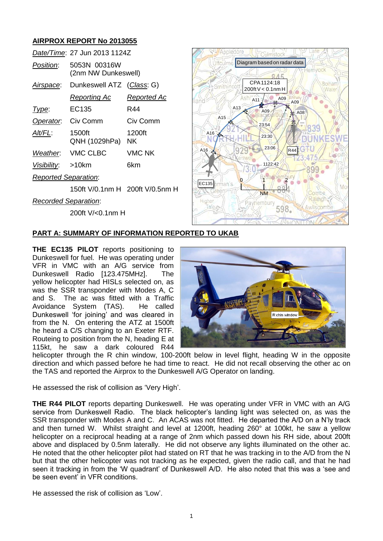# **AIRPROX REPORT No 2013055**

|                             | Date/Time: 27 Jun 2013 1124Z        |                    |
|-----------------------------|-------------------------------------|--------------------|
| <i>Position:</i>            | 5053N 00316W<br>(2nm NW Dunkeswell) |                    |
|                             | Airspace: Dunkeswell ATZ (Class: G) |                    |
|                             | <u>Reporting Ac</u>                 | <u>Reported Ac</u> |
| Type:                       | EC135                               | R44                |
| Operator.                   | Civ Comm                            | Civ Comm           |
| AIt/FL:                     | 1500ft<br>QNH (1029hPa) NK          | 1200ft             |
|                             | Weather. VMC CLBC                   | VMC NK             |
| Visibility: >10km           |                                     | 6km                |
| <b>Reported Separation:</b> |                                     |                    |
|                             | 150ft V/0.1nm H 200ft V/0.5nm H     |                    |
| <b>Recorded Separation:</b> |                                     |                    |

200ft V/<0.1nm H



# **PART A: SUMMARY OF INFORMATION REPORTED TO UKAB**

**THE EC135 PILOT** reports positioning to Dunkeswell for fuel. He was operating under VFR in VMC with an A/G service from Dunkeswell Radio [123.475MHz]. The yellow helicopter had HISLs selected on, as was the SSR transponder with Modes A, C and S. The ac was fitted with a Traffic<br>Avoidance System (TAS). He called Avoidance System (TAS). Dunkeswell 'for joining' and was cleared in from the N. On entering the ATZ at 1500ft he heard a C/S changing to an Exeter RTF. Routeing to position from the N, heading E at 115kt, he saw a dark coloured R44



helicopter through the R chin window, 100-200ft below in level flight, heading W in the opposite direction and which passed before he had time to react. He did not recall observing the other ac on the TAS and reported the Airprox to the Dunkeswell A/G Operator on landing.

He assessed the risk of collision as 'Very High'.

**THE R44 PILOT** reports departing Dunkeswell. He was operating under VFR in VMC with an A/G service from Dunkeswell Radio. The black helicopter's landing light was selected on, as was the SSR transponder with Modes A and C. An ACAS was not fitted. He departed the A/D on a N'ly track and then turned W. Whilst straight and level at 1200ft, heading 260° at 100kt, he saw a yellow helicopter on a reciprocal heading at a range of 2nm which passed down his RH side, about 200ft above and displaced by 0.5nm laterally. He did not observe any lights illuminated on the other ac. He noted that the other helicopter pilot had stated on RT that he was tracking in to the A/D from the N but that the other helicopter was not tracking as he expected, given the radio call, and that he had seen it tracking in from the 'W quadrant' of Dunkeswell A/D. He also noted that this was a 'see and be seen event' in VFR conditions.

He assessed the risk of collision as 'Low'.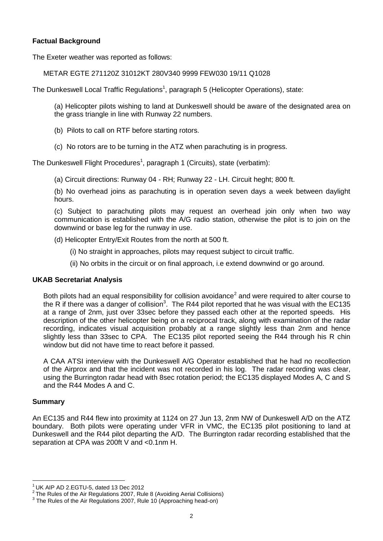## **Factual Background**

The Exeter weather was reported as follows:

### METAR EGTE 271120Z 31012KT 280V340 9999 FEW030 19/11 Q1028

The Dunkeswell Local Traffic Regulations<sup>1</sup>, paragraph 5 (Helicopter Operations), state:

<span id="page-1-0"></span>(a) Helicopter pilots wishing to land at Dunkeswell should be aware of the designated area on the grass triangle in line with Runway 22 numbers.

- (b) Pilots to call on RTF before starting rotors.
- (c) No rotors are to be turning in the ATZ when parachuting is in progress.

The Dunkeswell Flight Procedures<sup>[1](#page-1-0)</sup>, paragraph 1 (Circuits), state (verbatim):

(a) Circuit directions: Runway 04 - RH; Runway 22 - LH. Circuit heght; 800 ft.

(b) No overhead joins as parachuting is in operation seven days a week between daylight hours.

(c) Subject to parachuting pilots may request an overhead join only when two way communication is established with the A/G radio station, otherwise the pilot is to join on the downwind or base leg for the runway in use.

(d) Helicopter Entry/Exit Routes from the north at 500 ft.

- (i) No straight in approaches, pilots may request subject to circuit traffic.
- (ii) No orbits in the circuit or on final approach, i.e extend downwind or go around.

#### **UKAB Secretariat Analysis**

Both pilots had an equal responsibility for collision avoidance<sup>2</sup> and were required to alter course to the R if there was a danger of collision<sup>3</sup>. The R44 pilot reported that he was visual with the EC135 at a range of 2nm, just over 33sec before they passed each other at the reported speeds. His description of the other helicopter being on a reciprocal track, along with examination of the radar recording, indicates visual acquisition probably at a range slightly less than 2nm and hence slightly less than 33sec to CPA. The EC135 pilot reported seeing the R44 through his R chin window but did not have time to react before it passed.

A CAA ATSI interview with the Dunkeswell A/G Operator established that he had no recollection of the Airprox and that the incident was not recorded in his log. The radar recording was clear, using the Burrington radar head with 8sec rotation period; the EC135 displayed Modes A, C and S and the R44 Modes A and C.

#### **Summary**

 $\overline{a}$ 

An EC135 and R44 flew into proximity at 1124 on 27 Jun 13, 2nm NW of Dunkeswell A/D on the ATZ boundary. Both pilots were operating under VFR in VMC, the EC135 pilot positioning to land at Dunkeswell and the R44 pilot departing the A/D. The Burrington radar recording established that the separation at CPA was 200ft V and <0.1nm H.

 $1$  UK AIP AD 2.EGTU-5, dated 13 Dec 2012

 $2$  The Rules of the Air Regulations 2007, Rule 8 (Avoiding Aerial Collisions)

<sup>&</sup>lt;sup>3</sup> The Rules of the Air Regulations 2007, Rule 10 (Approaching head-on)